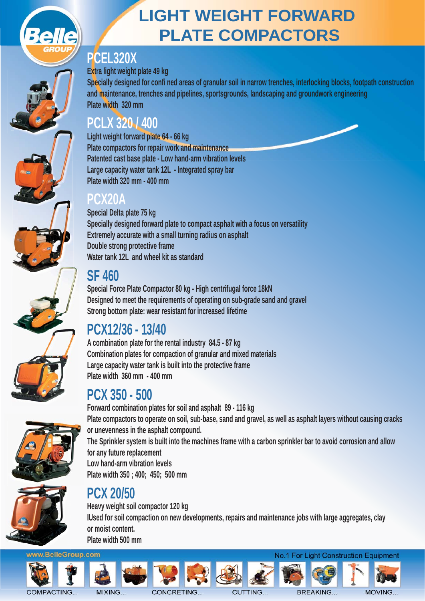

# **LIGHT WEIGHT FORWARD PLATE COMPACTORS**

#### **PCEL320X**

#### **Extra light weight plate 49 kg**

**Specially designed for confi ned areas of granular soil in narrow trenches, interlocking blocks, footpath construction and maintenance, trenches and pipelines, sportsgrounds, landscaping and groundwork engineering Plate width 320 mm** 

#### **PCLX 320 / 400**

**Light weight forward plate 64 - 66 kg Plate compactors for repair work and maintenance Patented cast base plate - Low hand-arm vibration levels Large capacity water tank 12L - Integrated spray bar Plate width 320 mm - 400 mm** 

#### **PCX20A**

**Special Delta plate 75 kg Specially designed forward plate to compact asphalt with a focus on versatility Extremely accurate with a small turning radius on asphalt Double strong protective frame**  Water tank 12L and wheel kit as standard

## **SF 460**

**Special Force Plate Compactor 80 kg - High centrifugal force 18kN Designed to meet the requirements of operating on sub-grade sand and gravel Strong bottom plate: wear resistant for increased lifetime** 

## **PCX12/36 - 13/40**

**A combination plate for the rental industry 84.5 - 87 kg Combination plates for compaction of granular and mixed materials Large capacity water tank is built into the protective frame Plate width 360 mm - 400 mm** 

## **PCX 350 - 500**



**1** 

**Forward combination plates for soil and asphalt 89 - 116 kg Plate compactors to operate on soil, sub-base, sand and gravel, as well as asphalt layers without causing cracks or unevenness in the asphalt compound. The Sprinkler system is built into the machines frame with a carbon sprinkler bar to avoid corrosion and allow for any future replacement Low hand-arm vibration levels Plate width 350 ; 400; 450; 500 mm** 

# **PCX 20/50**

**Heavy weight soil compactor 120 kg IUsed for soil compaction on new developments, repairs and maintenance jobs with large aggregates, clay or moist content. Plate width 500 mm** 





COMPACTING...













**BREAKING...**